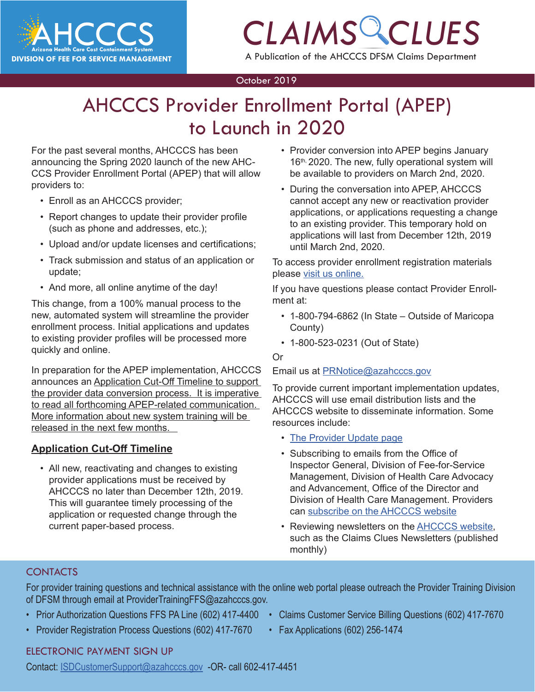

## *CLAIMS CLUES* A Publication of the AHCCCS DFSM Claims Department

#### October 2019

### **COLORES** COLORES CONTINUES CONTINUES CONTINUES CONTINUES CONTINUES CONTINUES CONTINUES CONTINUES CONTINUES CONTINUES CONTINUES CONTINUES CONTINUES CONTINUES CONTINUES CONTINUES CONTINUES CONTINUES CONTINUES CONTINUES CONT AHCCCS Provider Enrollment Portal (APEP) to Launch in 2020

For the past several months, AHCCCS has been announcing the Spring 2020 launch of the new AHC-CCS Provider Enrollment Portal (APEP) that will allow providers to:

- Enroll as an AHCCCS provider;
- Report changes to update their provider profile (such as phone and addresses, etc.);
- Upload and/or update licenses and certifications;
- Track submission and status of an application or update;
- And more, all online anytime of the day!

This change, from a 100% manual process to the new, automated system will streamline the provider enrollment process. Initial applications and updates to existing provider profiles will be processed more quickly and online.

In preparation for the APEP implementation, AHCCCS announces an Application Cut-Off Timeline to support the provider data conversion process. It is imperative to read all forthcoming APEP-related communication. More information about new system training will be released in the next few months.

#### **Application Cut-Off Timeline**

• All new, reactivating and changes to existing provider applications must be received by AHCCCS no later than December 12th, 2019. This will guarantee timely processing of the application or requested change through the current paper-based process.

- Provider conversion into APEP begins January 16th, 2020. The new, fully operational system will be available to providers on March 2nd, 2020.
- During the conversation into APEP, AHCCCS cannot accept any new or reactivation provider applications, or applications requesting a change to an existing provider. This temporary hold on applications will last from December 12th, 2019 until March 2nd, 2020.

To access provider enrollment registration materials please [visit us online](https://www.azahcccs.gov/PlansProviders/NewProviders/registration.html).

If you have questions please contact Provider Enrollment at:

- 1-800-794-6862 (In State Outside of Maricopa County)
- 1-800-523-0231 (Out of State)

#### Or

Email us at [PRNotice@azahcccs.gov](mailto:PRNotice@azahcccs.gov)

To provide current important implementation updates, AHCCCS will use email distribution lists and the AHCCCS website to disseminate information. Some resources include:

- [The Provider Update page](https://www.azahcccs.gov/PlansProviders/NewProviders/ProviderUpdates.html)
- Subscribing to emails from the Office of Inspector General, Division of Fee-for-Service Management, Division of Health Care Advocacy and Advancement, Office of the Director and Division of Health Care Management. Providers can [subscribe on the AHCCCS website](https://www.azahcccs.gov/PlansProviders/AHCCCSlistserve.html)
- Reviewing newsletters on the [AHCCCS website](https://www.azahcccs.gov/PlansProviders/RatesAndBilling/FFS/claimsclues.html), such as the Claims Clues Newsletters (published monthly)

#### **CONTACTS**

For provider training questions and technical assistance with the online web portal please outreach the Provider Training Division of DFSM through email at ProviderTrainingFFS@azahcccs.gov.

- Prior Authorization Questions FFS PA Line (602) 417-4400 Claims Customer Service Billing Questions (602) 417-7670
- Provider Registration Process Questions (602) 417-7670 Fax Applications (602) 256-1474
- -

#### [ELECTRONIC PAYMENT SIGN UP](mailto:ProviderTrainingFFS%40azahcccs.gov%20?subject=)

[Contact: ISDCustomerSupport@azahcccs.gov -OR- call 602-417-4451](mailto:ProviderTrainingFFS%40azahcccs.gov%20?subject=)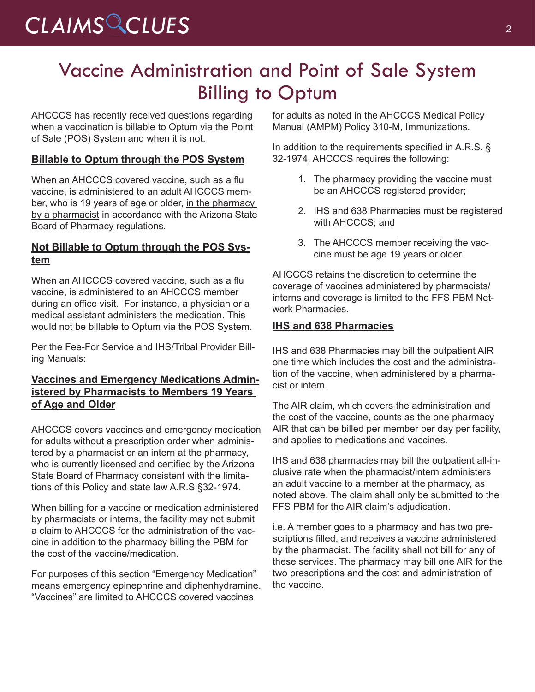### Vaccine Administration and Point of Sale System Billing to Optum

AHCCCS has recently received questions regarding when a vaccination is billable to Optum via the Point of Sale (POS) System and when it is not.

#### **Billable to Optum through the POS System**

When an AHCCCS covered vaccine, such as a flu vaccine, is administered to an adult AHCCCS member, who is 19 years of age or older, in the pharmacy by a pharmacist in accordance with the Arizona State Board of Pharmacy regulations.

#### **Not Billable to Optum through the POS System**

When an AHCCCS covered vaccine, such as a flu vaccine, is administered to an AHCCCS member during an office visit. For instance, a physician or a medical assistant administers the medication. This would not be billable to Optum via the POS System.

Per the Fee-For Service and IHS/Tribal Provider Billing Manuals:

#### **Vaccines and Emergency Medications Administered by Pharmacists to Members 19 Years of Age and Older**

AHCCCS covers vaccines and emergency medication for adults without a prescription order when administered by a pharmacist or an intern at the pharmacy, who is currently licensed and certified by the Arizona State Board of Pharmacy consistent with the limitations of this Policy and state law A.R.S §32-1974.

When billing for a vaccine or medication administered by pharmacists or interns, the facility may not submit a claim to AHCCCS for the administration of the vaccine in addition to the pharmacy billing the PBM for the cost of the vaccine/medication.

For purposes of this section "Emergency Medication" means emergency epinephrine and diphenhydramine. "Vaccines" are limited to AHCCCS covered vaccines

for adults as noted in the AHCCCS Medical Policy Manual (AMPM) Policy 310-M, Immunizations.

In addition to the requirements specified in A.R.S. § 32-1974, AHCCCS requires the following:

- 1. The pharmacy providing the vaccine must be an AHCCCS registered provider;
- 2. IHS and 638 Pharmacies must be registered with AHCCCS; and
- 3. The AHCCCS member receiving the vaccine must be age 19 years or older.

AHCCCS retains the discretion to determine the coverage of vaccines administered by pharmacists/ interns and coverage is limited to the FFS PBM Network Pharmacies.

#### **IHS and 638 Pharmacies**

IHS and 638 Pharmacies may bill the outpatient AIR one time which includes the cost and the administration of the vaccine, when administered by a pharmacist or intern.

The AIR claim, which covers the administration and the cost of the vaccine, counts as the one pharmacy AIR that can be billed per member per day per facility, and applies to medications and vaccines.

IHS and 638 pharmacies may bill the outpatient all-inclusive rate when the pharmacist/intern administers an adult vaccine to a member at the pharmacy, as noted above. The claim shall only be submitted to the FFS PBM for the AIR claim's adjudication.

i.e. A member goes to a pharmacy and has two prescriptions filled, and receives a vaccine administered by the pharmacist. The facility shall not bill for any of these services. The pharmacy may bill one AIR for the two prescriptions and the cost and administration of the vaccine.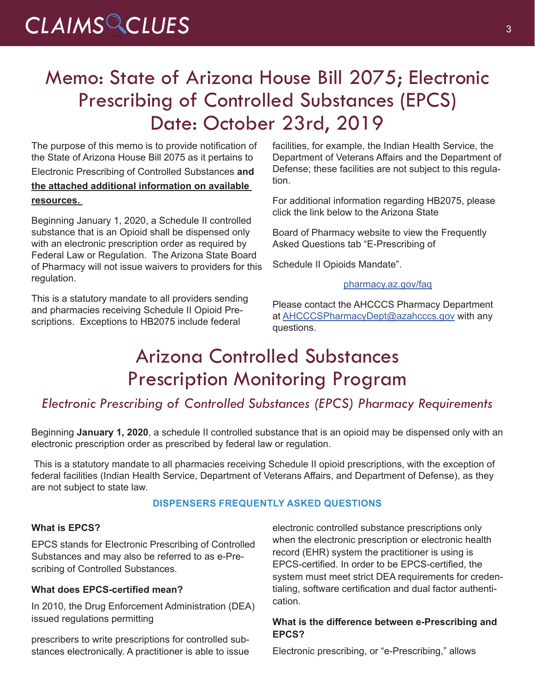## CLAIMS CLUES<sup>3</sup>

### Memo: State of Arizona House Bill 2075; Electronic Prescribing of Controlled Substances (EPCS) Date: October 23rd, 2019

The purpose of this memo is to provide notification of the State of Arizona House Bill 2075 as it pertains to

Electronic Prescribing of Controlled Substances **and the attached additional information on available resources.** 

Beginning January 1, 2020, a Schedule II controlled substance that is an Opioid shall be dispensed only with an electronic prescription order as required by Federal Law or Regulation. The Arizona State Board of Pharmacy will not issue waivers to providers for this regulation.

This is a statutory mandate to all providers sending and pharmacies receiving Schedule II Opioid Prescriptions. Exceptions to HB2075 include federal

facilities, for example, the Indian Health Service, the Department of Veterans Affairs and the Department of Defense; these facilities are not subject to this regulation.

For additional information regarding HB2075, please click the link below to the Arizona State

Board of Pharmacy website to view the Frequently Asked Questions tab "E-Prescribing of

Schedule II Opioids Mandate".

#### [pharmacy.az.gov/faq](https://pharmacy.az.gov/faq)

Please contact the AHCCCS Pharmacy Department at **AHCCCSPharmacyDept@azahcccs.gov** with any questions.

### Arizona Controlled Substances Prescription Monitoring Program

### *Electronic Prescribing of Controlled Substances (EPCS) Pharmacy Requirements*

Beginning **January 1, 2020**, a schedule II controlled substance that is an opioid may be dispensed only with an electronic prescription order as prescribed by federal law or regulation.

This is a statutory mandate to all pharmacies receiving Schedule II opioid prescriptions, with the exception of federal facilities (Indian Health Service, Department of Veterans Affairs, and Department of Defense), as they are not subject to state law.

#### **DISPENSERS FREQUENTLY ASKED QUESTIONS**

#### **What is EPCS?**

EPCS stands for Electronic Prescribing of Controlled Substances and may also be referred to as e-Prescribing of Controlled Substances.

#### **What does EPCS-certified mean?**

In 2010, the Drug Enforcement Administration (DEA) issued regulations permitting

prescribers to write prescriptions for controlled substances electronically. A practitioner is able to issue electronic controlled substance prescriptions only when the electronic prescription or electronic health record (EHR) system the practitioner is using is EPCS-certified. In order to be EPCS-certified, the system must meet strict DEA requirements for credentialing, software certification and dual factor authentication.

#### **What is the difference between e-Prescribing and EPCS?**

Electronic prescribing, or "e-Prescribing," allows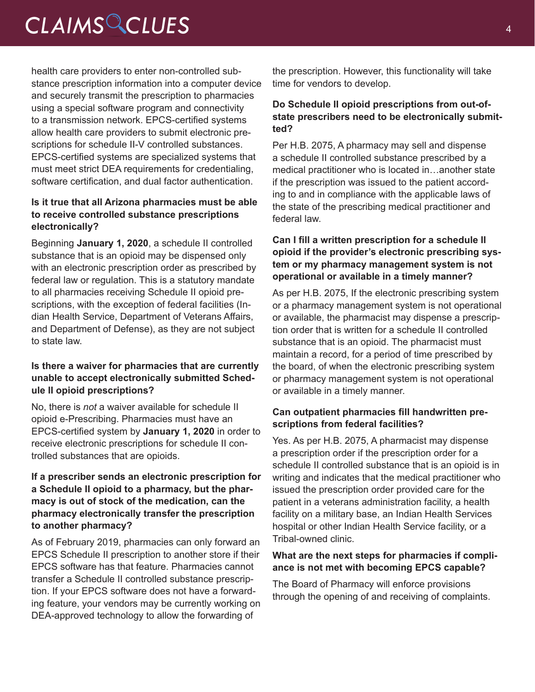## *CLAIMS CLUES* <sup>4</sup>

health care providers to enter non-controlled substance prescription information into a computer device and securely transmit the prescription to pharmacies using a special software program and connectivity to a transmission network. EPCS-certified systems allow health care providers to submit electronic prescriptions for schedule II-V controlled substances. EPCS-certified systems are specialized systems that must meet strict DEA requirements for credentialing, software certification, and dual factor authentication.

#### **Is it true that all Arizona pharmacies must be able to receive controlled substance prescriptions electronically?**

Beginning **January 1, 2020**, a schedule II controlled substance that is an opioid may be dispensed only with an electronic prescription order as prescribed by federal law or regulation. This is a statutory mandate to all pharmacies receiving Schedule II opioid prescriptions, with the exception of federal facilities (Indian Health Service, Department of Veterans Affairs, and Department of Defense), as they are not subject to state law.

#### **Is there a waiver for pharmacies that are currently unable to accept electronically submitted Schedule II opioid prescriptions?**

No, there is *not* a waiver available for schedule II opioid e-Prescribing. Pharmacies must have an EPCS-certified system by **January 1, 2020** in order to receive electronic prescriptions for schedule II controlled substances that are opioids.

#### **If a prescriber sends an electronic prescription for a Schedule II opioid to a pharmacy, but the pharmacy is out of stock of the medication, can the pharmacy electronically transfer the prescription to another pharmacy?**

As of February 2019, pharmacies can only forward an EPCS Schedule II prescription to another store if their EPCS software has that feature. Pharmacies cannot transfer a Schedule II controlled substance prescription. If your EPCS software does not have a forwarding feature, your vendors may be currently working on DEA-approved technology to allow the forwarding of

the prescription. However, this functionality will take time for vendors to develop.

#### **Do Schedule II opioid prescriptions from out-ofstate prescribers need to be electronically submitted?**

Per H.B. 2075, A pharmacy may sell and dispense a schedule II controlled substance prescribed by a medical practitioner who is located in…another state if the prescription was issued to the patient according to and in compliance with the applicable laws of the state of the prescribing medical practitioner and federal law.

#### **Can I fill a written prescription for a schedule II opioid if the provider's electronic prescribing system or my pharmacy management system is not operational or available in a timely manner?**

As per H.B. 2075, If the electronic prescribing system or a pharmacy management system is not operational or available, the pharmacist may dispense a prescription order that is written for a schedule II controlled substance that is an opioid. The pharmacist must maintain a record, for a period of time prescribed by the board, of when the electronic prescribing system or pharmacy management system is not operational or available in a timely manner.

#### **Can outpatient pharmacies fill handwritten prescriptions from federal facilities?**

Yes. As per H.B. 2075, A pharmacist may dispense a prescription order if the prescription order for a schedule II controlled substance that is an opioid is in writing and indicates that the medical practitioner who issued the prescription order provided care for the patient in a veterans administration facility, a health facility on a military base, an Indian Health Services hospital or other Indian Health Service facility, or a Tribal-owned clinic.

#### **What are the next steps for pharmacies if compliance is not met with becoming EPCS capable?**

The Board of Pharmacy will enforce provisions through the opening of and receiving of complaints.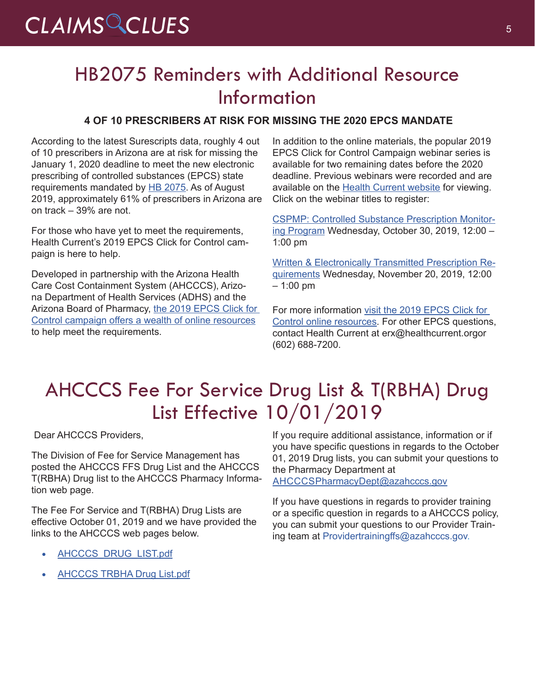### HB2075 Reminders with Additional Resource Information

#### **4 OF 10 PRESCRIBERS AT RISK FOR MISSING THE 2020 EPCS MANDATE**

According to the latest Surescripts data, roughly 4 out of 10 prescribers in Arizona are at risk for missing the January 1, 2020 deadline to meet the new electronic prescribing of controlled substances (EPCS) state requirements mandated by [HB 2075.](https://www.azleg.gov/legtext/54leg/1R/bills/HB2075H.pdf) As of August 2019, approximately 61% of prescribers in Arizona are on track – 39% are not.

For those who have yet to meet the requirements, Health Current's 2019 EPCS Click for Control campaign is here to help.

Developed in partnership with the Arizona Health Care Cost Containment System (AHCCCS), Arizona Department of Health Services (ADHS) and the Arizona Board of Pharmacy, [the 2019 EPCS Click for](https://healthcurrent.org/information-center/controlled-substances/)  [Control campaign offers a wealth of online resources](https://healthcurrent.org/information-center/controlled-substances/) to help meet the requirements.

In addition to the online materials, the popular 2019 EPCS Click for Control Campaign webinar series is available for two remaining dates before the 2020 deadline. Previous webinars were recorded and are available on the [Health Current website](https://healthcurrent.org/information-center/controlled-substances/) for viewing. Click on the webinar titles to register:

[CSPMP: Controlled Substance Prescription Monitor](https://www.eventbrite.com/e/epcs-controlled-substance-prescription-monitoring-program-webinar-oct-30-registration-64942288132)[ing Program](https://www.eventbrite.com/e/epcs-controlled-substance-prescription-monitoring-program-webinar-oct-30-registration-64942288132) Wednesday, October 30, 2019, 12:00 – 1:00 pm

[Written & Electronically Transmitted Prescription Re](https://www.eventbrite.com/e/epcs-written-and-electronically-transmitted-prescription-requirements-webinar-nov-20-registration-70849919015)[quirements](https://www.eventbrite.com/e/epcs-written-and-electronically-transmitted-prescription-requirements-webinar-nov-20-registration-70849919015) Wednesday, November 20, 2019, 12:00 – 1:00 pm

For more information visit the 2019 EPCS Click for [Control online resources](https://healthcurrent.org/information-center/controlled-substances/). For other EPCS questions, contact Health Current at [erx@healthcurrent.orgo](mailto:erx@healthcurrent.org)r (602) 688-7200.

### AHCCCS Fee For Service Drug List & T(RBHA) Drug List Effective 10/01/2019

Dear AHCCCS Providers,

The Division of Fee for Service Management has posted the AHCCCS FFS Drug List and the AHCCCS T(RBHA) Drug list to the AHCCCS Pharmacy Information web page.

The Fee For Service and T(RBHA) Drug Lists are effective October 01, 2019 and we have provided the links to the AHCCCS web pages below.

- AHCCCS DRUG LIST.pdf
- **AHCCCS TRBHA Drug List.pdf**

If you require additional assistance, information or if you have specific questions in regards to the October 01, 2019 Drug lists, you can submit your questions to the Pharmacy Department at

[AHCCCSPharmacyDept@azahcccs.gov](mailto:AHCCCSPharmacyDept@azahcccs.gov)

If you have questions in regards to provider training or a specific question in regards to a AHCCCS policy, you can submit your questions to our Provider Training team at Providertrainingffs@azahcccs.gov.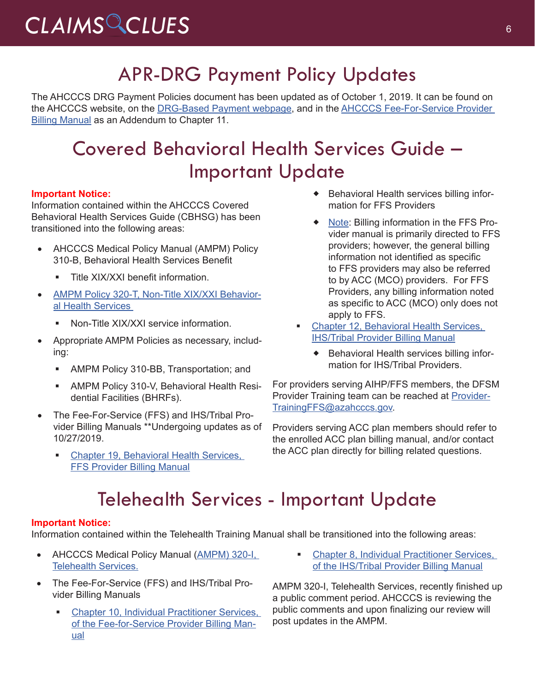# *CLAIMS CLUES* <sup>6</sup>

## APR-DRG Payment Policy Updates

The AHCCCS DRG Payment Policies document has been updated as of October 1, 2019. It can be found on the AHCCCS website, on the [DRG-Based Payment webpage,](https://www.azahcccs.gov/PlansProviders/RatesAndBilling/ManagedCare/DRGbasedpayments.html) and in the AHCCCS Fee-For-Service Provider [Billing Manual](https://azahcccs.gov/PlansProviders/RatesAndBilling/FFS/providermanual.html) as an Addendum to Chapter 11.

### Covered Behavioral Health Services Guide – Important Update

#### **Important Notice:**

Information contained within the AHCCCS Covered Behavioral Health Services Guide (CBHSG) has been transitioned into the following areas:

- AHCCCS Medical Policy Manual (AMPM) Policy [310-B, Behavioral Health Services Benefit](https://www.azahcccs.gov/shared/Downloads/MedicalPolicyManual/310B.pdf)
	- Title XIX/XXI benefit information.
- [AMPM Policy 320-T, Non-Title XIX/XXI Behavior](https://www.azahcccs.gov/shared/Downloads/MedicalPolicyManual/320T.pdf)[al Health Services](https://www.azahcccs.gov/shared/Downloads/MedicalPolicyManual/320T.pdf) 
	- Non-Title XIX/XXI service information.
- Appropriate AMPM Policies as necessary, including:
	- AMPM Policy 310-BB, Transportation; and
	- AMPM Policy 310-V, Behavioral Health Residential Facilities (BHRFs).
- The Fee-For-Service (FFS) and IHS/Tribal Provider Billing Manuals \*\*Undergoing updates as of 10/27/2019.
	- [Chapter 19, Behavioral Health Services,](https://www.azahcccs.gov/shared/Downloads/MedicalPolicyManual/310B.pdf)  [FFS Provider Billing Manual](https://www.azahcccs.gov/shared/Downloads/MedicalPolicyManual/310B.pdf)
- Behavioral Health services billing information for FFS Providers
- ◆ Note: Billing information in the FFS Provider manual is primarily directed to FFS providers; however, the general billing information not identified as specific to FFS providers may also be referred to by ACC (MCO) providers. For FFS Providers, any billing information noted as specific to ACC (MCO) only does not apply to FFS.
- [Chapter 12, Behavioral Health Services,](https://www.azahcccs.gov/PlansProviders/Downloads/IHS-TribalManual/IHS-Chap12BehavioralHealth.pdf)  [IHS/Tribal Provider Billing Manual](https://www.azahcccs.gov/PlansProviders/Downloads/IHS-TribalManual/IHS-Chap12BehavioralHealth.pdf)
	- ◆ Behavioral Health services billing information for IHS/Tribal Providers.

For providers serving AIHP/FFS members, the DFSM Provider Training team can be reached at [Provider-](mailto:ProviderTrainingFFS@azahcccs.gov)[TrainingFFS@azahcccs.gov](mailto:ProviderTrainingFFS@azahcccs.gov).

Providers serving ACC plan members should refer to the enrolled ACC plan billing manual, and/or contact the ACC plan directly for billing related questions.

### Telehealth Services - Important Update

#### **Important Notice:**

Information contained within the Telehealth Training Manual shall be transitioned into the following areas:

- AHCCCS Medical Policy Manual (AMPM) 320-I, [Telehealth Services](https://www.azahcccs.gov/shared/Downloads/MedicalPolicyManual/300/320-I.pdf).
- The Fee-For-Service (FFS) and IHS/Tribal Provider Billing Manuals
	- [Chapter 10, Individual Practitioner Services,](https://www.azahcccs.gov/PlansProviders/Downloads/FFSProviderManual/FFS_Chap10.pdf)  [of the Fee-for-Service Provider Billing Man](https://www.azahcccs.gov/PlansProviders/Downloads/FFSProviderManual/FFS_Chap10.pdf)[ual](https://www.azahcccs.gov/PlansProviders/Downloads/FFSProviderManual/FFS_Chap10.pdf)
- **Chapter 8, Individual Practitioner Services,** [of the IHS/Tribal Provider Billing Manual](https://www.azahcccs.gov/PlansProviders/Downloads/IHS-TribalManual/IHS-Chap08IndivPractitionerSvcs.pdf)

AMPM 320-I, Telehealth Services, recently finished up a public comment period. AHCCCS is reviewing the public comments and upon finalizing our review will post updates in the AMPM.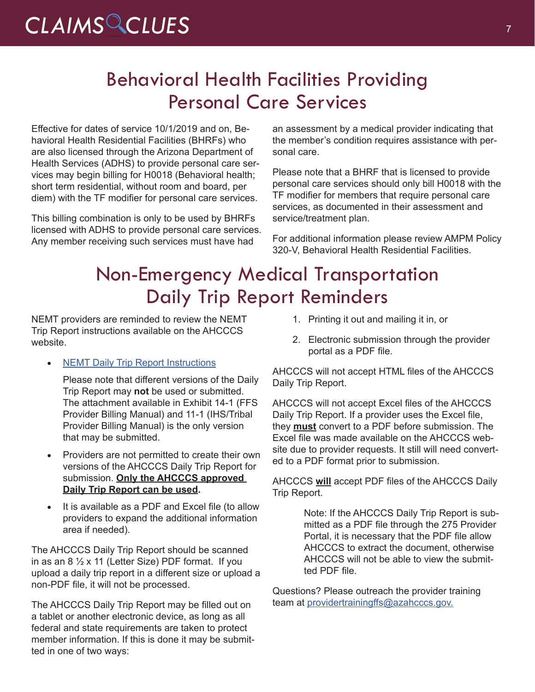# CLAIMS CLUES

## Behavioral Health Facilities Providing Personal Care Services

Effective for dates of service 10/1/2019 and on, Behavioral Health Residential Facilities (BHRFs) who are also licensed through the Arizona Department of Health Services (ADHS) to provide personal care services may begin billing for H0018 (Behavioral health; short term residential, without room and board, per diem) with the TF modifier for personal care services.

This billing combination is only to be used by BHRFs licensed with ADHS to provide personal care services. Any member receiving such services must have had

an assessment by a medical provider indicating that the member's condition requires assistance with personal care.

Please note that a BHRF that is licensed to provide personal care services should only bill H0018 with the TF modifier for members that require personal care services, as documented in their assessment and service/treatment plan.

For additional information please review [AMPM Policy](https://www.azahcccs.gov/shared/Downloads/MedicalPolicyManual/300/320v.pdf)  [320-V, Behavioral Health Residential Facilities.](https://www.azahcccs.gov/shared/Downloads/MedicalPolicyManual/300/320v.pdf)

### Non-Emergency Medical Transportation Daily Trip Report Reminders

NEMT providers are reminded to review the NEMT Trip Report instructions available on the AHCCCS website.

• [NEMT Daily Trip Report Instructions](https://www.azahcccs.gov/PlansProviders/Downloads/FFSProviderManual/FFSChap_14TransportationExhibit2.pdf)

Please note that different versions of the Daily Trip Report may **not** be used or submitted. The attachment available in Exhibit 14-1 (FFS Provider Billing Manual) and 11-1 (IHS/Tribal Provider Billing Manual) is the only version that may be submitted.

- Providers are not permitted to create their own versions of the AHCCCS Daily Trip Report for submission. **Only the AHCCCS approved Daily Trip Report can be used.**
- It is available as a PDF and Excel file (to allow providers to expand the additional information area if needed).

The AHCCCS Daily Trip Report should be scanned in as an 8  $\frac{1}{2}$  x 11 (Letter Size) PDF format. If you upload a daily trip report in a different size or upload a non-PDF file, it will not be processed.

The AHCCCS Daily Trip Report may be filled out on a tablet or another electronic device, as long as all federal and state requirements are taken to protect member information. If this is done it may be submitted in one of two ways:

- 1. Printing it out and mailing it in, or
- 2. Electronic submission through the provider portal as a PDF file.

AHCCCS will not accept HTML files of the AHCCCS Daily Trip Report.

AHCCCS will not accept Excel files of the AHCCCS Daily Trip Report. If a provider uses the Excel file, they **must** convert to a PDF before submission. The Excel file was made available on the AHCCCS website due to provider requests. It still will need converted to a PDF format prior to submission.

AHCCCS **will** accept PDF files of the AHCCCS Daily Trip Report.

> Note: If the AHCCCS Daily Trip Report is submitted as a PDF file through the 275 Provider Portal, it is necessary that the PDF file allow AHCCCS to extract the document, otherwise AHCCCS will not be able to view the submitted PDF file.

Questions? Please outreach the provider training team at [providertrainingffs@azahcccs.gov](mailto:providertrainingffs@azahcccs.gov).